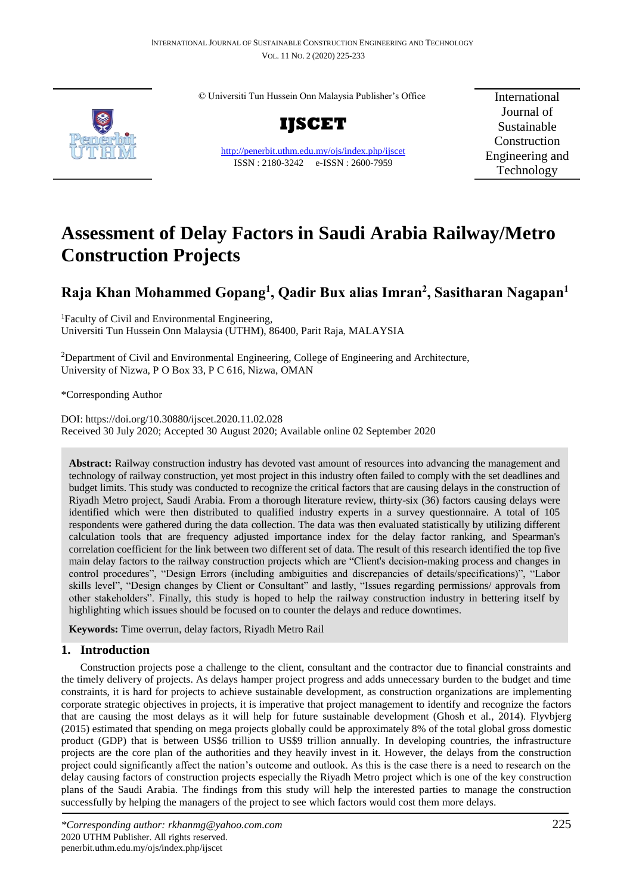© Universiti Tun Hussein Onn Malaysia Publisher's Office



<http://penerbit.uthm.edu.my/ojs/index.php/ijscet> ISSN : 2180-3242 e-ISSN : 2600-7959

International Journal of Sustainable Construction Engineering and Technology

# **Assessment of Delay Factors in Saudi Arabia Railway/Metro Construction Projects**

## **Raja Khan Mohammed Gopang<sup>1</sup> , Qadir Bux alias Imran<sup>2</sup> , Sasitharan Nagapan<sup>1</sup>**

<sup>1</sup>Faculty of Civil and Environmental Engineering, Universiti Tun Hussein Onn Malaysia (UTHM), 86400, Parit Raja, MALAYSIA

<sup>2</sup>Department of Civil and Environmental Engineering, College of Engineering and Architecture, University of Nizwa, P O Box 33, P C 616, Nizwa, OMAN

\*Corresponding Author

DOI: https://doi.org/10.30880/ijscet.2020.11.02.028 Received 30 July 2020; Accepted 30 August 2020; Available online 02 September 2020

Abstract: Railway construction industry has devoted vast amount of resources into advancing the management and technology of railway construction, yet most project in this industry often failed to comply with the set deadlines and budget limits. This study was conducted to recognize the critical factors that are causing delays in the construction of Riyadh Metro project, Saudi Arabia. From a thorough literature review, thirty-six (36) factors causing delays were identified which were then distributed to qualified industry experts in a survey questionnaire. A total of 105 respondents were gathered during the data collection. The data was then evaluated statistically by utilizing different calculation tools that are frequency adjusted importance index for the delay factor ranking, and Spearman's correlation coefficient for the link between two different set of data. The result of this research identified the top five main delay factors to the railway construction projects which are "Client's decision-making process and changes in control procedures", "Design Errors (including ambiguities and discrepancies of details/specifications)", "Labor skills level", "Design changes by Client or Consultant" and lastly, "Issues regarding permissions/ approvals from other stakeholders". Finally, this study is hoped to help the railway construction industry in bettering itself by highlighting which issues should be focused on to counter the delays and reduce downtimes.

**Keywords:** Time overrun, delay factors, Riyadh Metro Rail

## **1. Introduction**

Construction projects pose a challenge to the client, consultant and the contractor due to financial constraints and the timely delivery of projects. As delays hamper project progress and adds unnecessary burden to the budget and time constraints, it is hard for projects to achieve sustainable development, as construction organizations are implementing corporate strategic objectives in projects, it is imperative that project management to identify and recognize the factors that are causing the most delays as it will help for future sustainable development (Ghosh et al., 2014). Flyvbjerg (2015) estimated that spending on mega projects globally could be approximately 8% of the total global gross domestic product (GDP) that is between US\$6 trillion to US\$9 trillion annually. In developing countries, the infrastructure projects are the core plan of the authorities and they heavily invest in it. However, the delays from the construction project could significantly affect the nation's outcome and outlook. As this is the case there is a need to research on the delay causing factors of construction projects especially the Riyadh Metro project which is one of the key construction plans of the Saudi Arabia. The findings from this study will help the interested parties to manage the construction successfully by helping the managers of the project to see which factors would cost them more delays.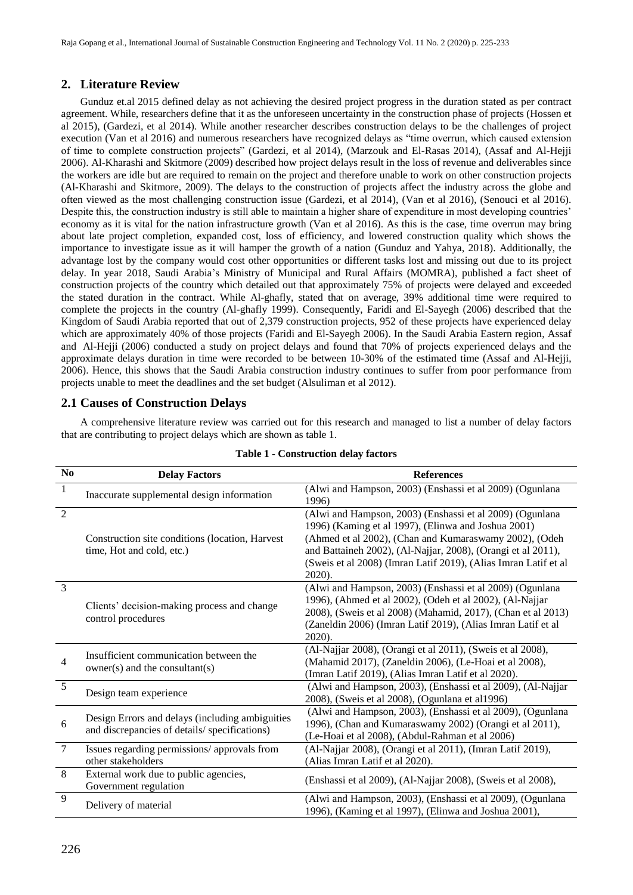Raja Gopang et al., International Journal of Sustainable Construction Engineering and Technology Vol. 11 No. 2 (2020) p. 225-233

## **2. Literature Review**

Gunduz et.al 2015 defined delay as not achieving the desired project progress in the duration stated as per contract agreement. While, researchers define that it as the unforeseen uncertainty in the construction phase of projects (Hossen et al 2015), (Gardezi, et al 2014). While another researcher describes construction delays to be the challenges of project execution (Van et al 2016) and numerous researchers have recognized delays as "time overrun, which caused extension of time to complete construction projects" (Gardezi, et al 2014), (Marzouk and El-Rasas 2014), (Assaf and Al-Hejji 2006). Al-Kharashi and Skitmore (2009) described how project delays result in the loss of revenue and deliverables since the workers are idle but are required to remain on the project and therefore unable to work on other construction projects (Al-Kharashi and Skitmore, 2009). The delays to the construction of projects affect the industry across the globe and often viewed as the most challenging construction issue (Gardezi, et al 2014), (Van et al 2016), (Senouci et al 2016). Despite this, the construction industry is still able to maintain a higher share of expenditure in most developing countries' economy as it is vital for the nation infrastructure growth (Van et al 2016). As this is the case, time overrun may bring about late project completion, expanded cost, loss of efficiency, and lowered construction quality which shows the importance to investigate issue as it will hamper the growth of a nation (Gunduz and Yahya, 2018). Additionally, the advantage lost by the company would cost other opportunities or different tasks lost and missing out due to its project delay. In year 2018, Saudi Arabia's Ministry of Municipal and Rural Affairs (MOMRA), published a fact sheet of construction projects of the country which detailed out that approximately 75% of projects were delayed and exceeded the stated duration in the contract. While Al-ghafly, stated that on average, 39% additional time were required to complete the projects in the country (Al-ghafly 1999). Consequently, Faridi and El-Sayegh (2006) described that the Kingdom of Saudi Arabia reported that out of 2,379 construction projects, 952 of these projects have experienced delay which are approximately 40% of those projects (Faridi and El-Sayegh 2006). In the Saudi Arabia Eastern region, Assaf and Al-Hejji (2006) conducted a study on project delays and found that 70% of projects experienced delays and the approximate delays duration in time were recorded to be between 10-30% of the estimated time (Assaf and Al-Hejji, 2006). Hence, this shows that the Saudi Arabia construction industry continues to suffer from poor performance from projects unable to meet the deadlines and the set budget (Alsuliman et al 2012).

## **2.1 Causes of Construction Delays**

A comprehensive literature review was carried out for this research and managed to list a number of delay factors that are contributing to project delays which are shown as table 1.

| No             | <b>Delay Factors</b>                                                                            | <b>References</b>                                                                                                                                                                                                                                                                                                      |
|----------------|-------------------------------------------------------------------------------------------------|------------------------------------------------------------------------------------------------------------------------------------------------------------------------------------------------------------------------------------------------------------------------------------------------------------------------|
| 1              | Inaccurate supplemental design information                                                      | (Alwi and Hampson, 2003) (Enshassi et al 2009) (Ogunlana<br>1996)                                                                                                                                                                                                                                                      |
| $\overline{2}$ | Construction site conditions (location, Harvest)<br>time, Hot and cold, etc.)                   | (Alwi and Hampson, 2003) (Enshassi et al 2009) (Ogunlana<br>1996) (Kaming et al 1997), (Elinwa and Joshua 2001)<br>(Ahmed et al 2002), (Chan and Kumaraswamy 2002), (Odeh<br>and Battaineh 2002), (Al-Najjar, 2008), (Orangi et al 2011),<br>(Sweis et al 2008) (Imran Latif 2019), (Alias Imran Latif et al<br>2020). |
| $\overline{3}$ | Clients' decision-making process and change<br>control procedures                               | (Alwi and Hampson, 2003) (Enshassi et al 2009) (Ogunlana<br>1996), (Ahmed et al 2002), (Odeh et al 2002), (Al-Najjar<br>2008), (Sweis et al 2008) (Mahamid, 2017), (Chan et al 2013)<br>(Zaneldin 2006) (Imran Latif 2019), (Alias Imran Latif et al<br>$2020$ ).                                                      |
| 4              | Insufficient communication between the<br>owner(s) and the consultant(s)                        | (Al-Najjar 2008), (Orangi et al 2011), (Sweis et al 2008),<br>(Mahamid 2017), (Zaneldin 2006), (Le-Hoai et al 2008),<br>(Imran Latif 2019), (Alias Imran Latif et al 2020).                                                                                                                                            |
| 5              | Design team experience                                                                          | (Alwi and Hampson, 2003), (Enshassi et al 2009), (Al-Najjar<br>2008), (Sweis et al 2008), (Ogunlana et al1996)                                                                                                                                                                                                         |
| 6              | Design Errors and delays (including ambiguities<br>and discrepancies of details/specifications) | (Alwi and Hampson, 2003), (Enshassi et al 2009), (Ogunlana<br>1996), (Chan and Kumaraswamy 2002) (Orangi et al 2011),<br>(Le-Hoai et al 2008), (Abdul-Rahman et al 2006)                                                                                                                                               |
| $\tau$         | Issues regarding permissions/ approvals from<br>other stakeholders                              | (Al-Najjar 2008), (Orangi et al 2011), (Imran Latif 2019),<br>(Alias Imran Latif et al 2020).                                                                                                                                                                                                                          |
| 8              | External work due to public agencies,<br>Government regulation                                  | (Enshassi et al 2009), (Al-Najjar 2008), (Sweis et al 2008),                                                                                                                                                                                                                                                           |
| 9              | Delivery of material                                                                            | (Alwi and Hampson, 2003), (Enshassi et al 2009), (Ogunlana<br>1996), (Kaming et al 1997), (Elinwa and Joshua 2001),                                                                                                                                                                                                    |

#### **Table 1 - Construction delay factors**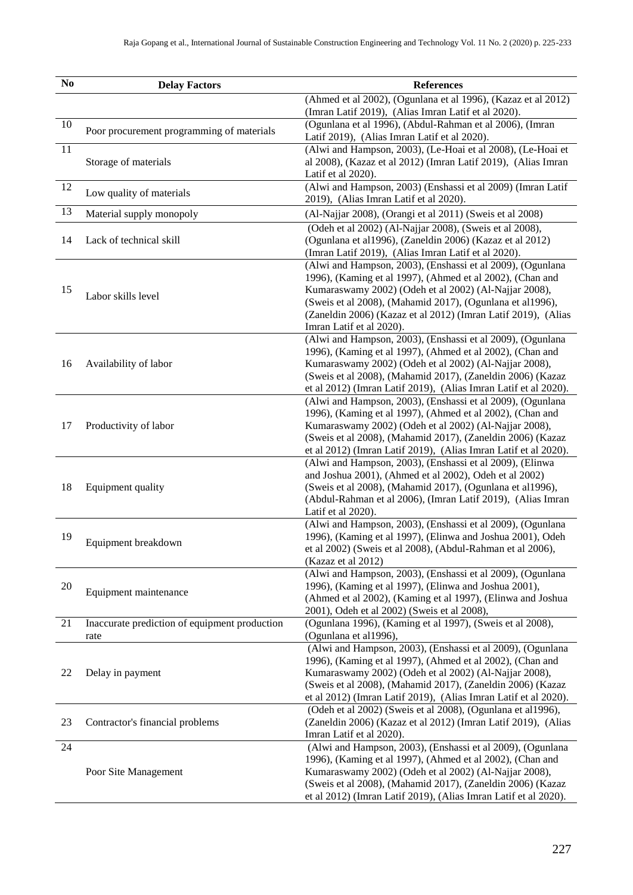| $\mathbf{N}\mathbf{o}$ | <b>Delay Factors</b>                                  | <b>References</b>                                                                                                                                                                                                                                                                                                                          |  |  |
|------------------------|-------------------------------------------------------|--------------------------------------------------------------------------------------------------------------------------------------------------------------------------------------------------------------------------------------------------------------------------------------------------------------------------------------------|--|--|
|                        |                                                       | (Ahmed et al 2002), (Ogunlana et al 1996), (Kazaz et al 2012)<br>(Imran Latif 2019), (Alias Imran Latif et al 2020).                                                                                                                                                                                                                       |  |  |
| $10\,$                 | Poor procurement programming of materials             | (Ogunlana et al 1996), (Abdul-Rahman et al 2006), (Imran<br>Latif 2019), (Alias Imran Latif et al 2020).                                                                                                                                                                                                                                   |  |  |
| 11                     | Storage of materials                                  | (Alwi and Hampson, 2003), (Le-Hoai et al 2008), (Le-Hoai et<br>al 2008), (Kazaz et al 2012) (Imran Latif 2019), (Alias Imran<br>Latif et al 2020).                                                                                                                                                                                         |  |  |
| 12                     | Low quality of materials                              | (Alwi and Hampson, 2003) (Enshassi et al 2009) (Imran Latif<br>2019), (Alias Imran Latif et al 2020).                                                                                                                                                                                                                                      |  |  |
| 13                     | Material supply monopoly                              | (Al-Najjar 2008), (Orangi et al 2011) (Sweis et al 2008)                                                                                                                                                                                                                                                                                   |  |  |
| 14                     | Lack of technical skill                               | (Odeh et al 2002) (Al-Najjar 2008), (Sweis et al 2008),<br>(Ogunlana et al1996), (Zaneldin 2006) (Kazaz et al 2012)<br>(Imran Latif 2019), (Alias Imran Latif et al 2020).                                                                                                                                                                 |  |  |
| 15                     | Labor skills level                                    | (Alwi and Hampson, 2003), (Enshassi et al 2009), (Ogunlana<br>1996), (Kaming et al 1997), (Ahmed et al 2002), (Chan and<br>Kumaraswamy 2002) (Odeh et al 2002) (Al-Najjar 2008),<br>(Sweis et al 2008), (Mahamid 2017), (Ogunlana et al1996),<br>(Zaneldin 2006) (Kazaz et al 2012) (Imran Latif 2019), (Alias<br>Imran Latif et al 2020). |  |  |
| 16                     | Availability of labor                                 | (Alwi and Hampson, 2003), (Enshassi et al 2009), (Ogunlana<br>1996), (Kaming et al 1997), (Ahmed et al 2002), (Chan and<br>Kumaraswamy 2002) (Odeh et al 2002) (Al-Najjar 2008),<br>(Sweis et al 2008), (Mahamid 2017), (Zaneldin 2006) (Kazaz<br>et al 2012) (Imran Latif 2019), (Alias Imran Latif et al 2020).                          |  |  |
| 17                     | Productivity of labor                                 | (Alwi and Hampson, 2003), (Enshassi et al 2009), (Ogunlana<br>1996), (Kaming et al 1997), (Ahmed et al 2002), (Chan and<br>Kumaraswamy 2002) (Odeh et al 2002) (Al-Najjar 2008),<br>(Sweis et al 2008), (Mahamid 2017), (Zaneldin 2006) (Kazaz<br>et al 2012) (Imran Latif 2019), (Alias Imran Latif et al 2020).                          |  |  |
| 18                     | Equipment quality                                     | (Alwi and Hampson, 2003), (Enshassi et al 2009), (Elinwa<br>and Joshua 2001), (Ahmed et al 2002), Odeh et al 2002)<br>(Sweis et al 2008), (Mahamid 2017), (Ogunlana et al1996),<br>(Abdul-Rahman et al 2006), (Imran Latif 2019), (Alias Imran<br>Latif et al 2020).                                                                       |  |  |
| 19                     | Equipment breakdown                                   | (Alwi and Hampson, 2003), (Enshassi et al 2009), (Ogunlana<br>1996), (Kaming et al 1997), (Elinwa and Joshua 2001), Odeh<br>et al 2002) (Sweis et al 2008), (Abdul-Rahman et al 2006),<br>(Kazaz et al 2012)                                                                                                                               |  |  |
| 20                     | Equipment maintenance                                 | (Alwi and Hampson, 2003), (Enshassi et al 2009), (Ogunlana<br>1996), (Kaming et al 1997), (Elinwa and Joshua 2001),<br>(Ahmed et al 2002), (Kaming et al 1997), (Elinwa and Joshua<br>2001), Odeh et al 2002) (Sweis et al 2008),                                                                                                          |  |  |
| 21                     | Inaccurate prediction of equipment production<br>rate | (Ogunlana 1996), (Kaming et al 1997), (Sweis et al 2008),<br>(Ogunlana et al1996),                                                                                                                                                                                                                                                         |  |  |
| 22                     | Delay in payment                                      | (Alwi and Hampson, 2003), (Enshassi et al 2009), (Ogunlana<br>1996), (Kaming et al 1997), (Ahmed et al 2002), (Chan and<br>Kumaraswamy 2002) (Odeh et al 2002) (Al-Najjar 2008),<br>(Sweis et al 2008), (Mahamid 2017), (Zaneldin 2006) (Kazaz<br>et al 2012) (Imran Latif 2019), (Alias Imran Latif et al 2020).                          |  |  |
| 23                     | Contractor's financial problems                       | (Odeh et al 2002) (Sweis et al 2008), (Ogunlana et al1996),<br>(Zaneldin 2006) (Kazaz et al 2012) (Imran Latif 2019), (Alias<br>Imran Latif et al 2020).                                                                                                                                                                                   |  |  |
| 24                     | Poor Site Management                                  | (Alwi and Hampson, 2003), (Enshassi et al 2009), (Ogunlana<br>1996), (Kaming et al 1997), (Ahmed et al 2002), (Chan and<br>Kumaraswamy 2002) (Odeh et al 2002) (Al-Najjar 2008),<br>(Sweis et al 2008), (Mahamid 2017), (Zaneldin 2006) (Kazaz<br>et al 2012) (Imran Latif 2019), (Alias Imran Latif et al 2020).                          |  |  |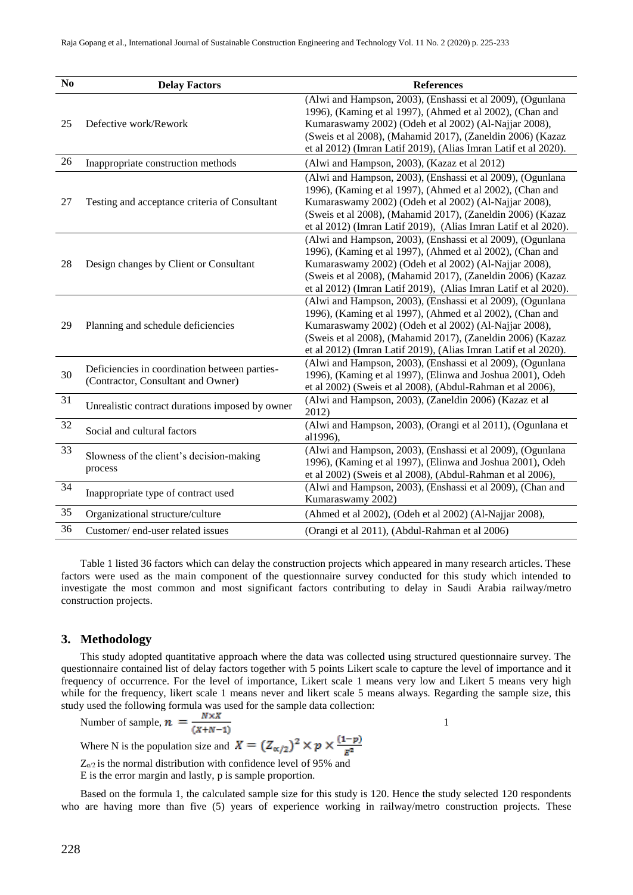| N <sub>0</sub>  | <b>Delay Factors</b>                                                                | <b>References</b>                                                                                                                                                                                                                                                                                                 |
|-----------------|-------------------------------------------------------------------------------------|-------------------------------------------------------------------------------------------------------------------------------------------------------------------------------------------------------------------------------------------------------------------------------------------------------------------|
| 25              | Defective work/Rework                                                               | (Alwi and Hampson, 2003), (Enshassi et al 2009), (Ogunlana<br>1996), (Kaming et al 1997), (Ahmed et al 2002), (Chan and<br>Kumaraswamy 2002) (Odeh et al 2002) (Al-Najjar 2008),<br>(Sweis et al 2008), (Mahamid 2017), (Zaneldin 2006) (Kazaz<br>et al 2012) (Imran Latif 2019), (Alias Imran Latif et al 2020). |
| 26              | Inappropriate construction methods                                                  | (Alwi and Hampson, 2003), (Kazaz et al 2012)                                                                                                                                                                                                                                                                      |
| 27              | Testing and acceptance criteria of Consultant                                       | (Alwi and Hampson, 2003), (Enshassi et al 2009), (Ogunlana<br>1996), (Kaming et al 1997), (Ahmed et al 2002), (Chan and<br>Kumaraswamy 2002) (Odeh et al 2002) (Al-Najjar 2008),<br>(Sweis et al 2008), (Mahamid 2017), (Zaneldin 2006) (Kazaz<br>et al 2012) (Imran Latif 2019), (Alias Imran Latif et al 2020). |
| 28              | Design changes by Client or Consultant                                              | (Alwi and Hampson, 2003), (Enshassi et al 2009), (Ogunlana<br>1996), (Kaming et al 1997), (Ahmed et al 2002), (Chan and<br>Kumaraswamy 2002) (Odeh et al 2002) (Al-Najjar 2008),<br>(Sweis et al 2008), (Mahamid 2017), (Zaneldin 2006) (Kazaz<br>et al 2012) (Imran Latif 2019), (Alias Imran Latif et al 2020). |
| 29              | Planning and schedule deficiencies                                                  | (Alwi and Hampson, 2003), (Enshassi et al 2009), (Ogunlana<br>1996), (Kaming et al 1997), (Ahmed et al 2002), (Chan and<br>Kumaraswamy 2002) (Odeh et al 2002) (Al-Najjar 2008),<br>(Sweis et al 2008), (Mahamid 2017), (Zaneldin 2006) (Kazaz<br>et al 2012) (Imran Latif 2019), (Alias Imran Latif et al 2020). |
| 30              | Deficiencies in coordination between parties-<br>(Contractor, Consultant and Owner) | (Alwi and Hampson, 2003), (Enshassi et al 2009), (Ogunlana<br>1996), (Kaming et al 1997), (Elinwa and Joshua 2001), Odeh<br>et al 2002) (Sweis et al 2008), (Abdul-Rahman et al 2006),                                                                                                                            |
| $\overline{31}$ | Unrealistic contract durations imposed by owner                                     | (Alwi and Hampson, 2003), (Zaneldin 2006) (Kazaz et al<br>2012)                                                                                                                                                                                                                                                   |
| 32              | Social and cultural factors                                                         | (Alwi and Hampson, 2003), (Orangi et al 2011), (Ogunlana et<br>al1996),                                                                                                                                                                                                                                           |
| 33              | Slowness of the client's decision-making<br>process                                 | (Alwi and Hampson, 2003), (Enshassi et al 2009), (Ogunlana<br>1996), (Kaming et al 1997), (Elinwa and Joshua 2001), Odeh<br>et al 2002) (Sweis et al 2008), (Abdul-Rahman et al 2006),                                                                                                                            |
| 34              | Inappropriate type of contract used                                                 | (Alwi and Hampson, 2003), (Enshassi et al 2009), (Chan and<br>Kumaraswamy 2002)                                                                                                                                                                                                                                   |
| 35              | Organizational structure/culture                                                    | (Ahmed et al 2002), (Odeh et al 2002) (Al-Najjar 2008),                                                                                                                                                                                                                                                           |
| 36              | Customer/end-user related issues                                                    | (Orangi et al 2011), (Abdul-Rahman et al 2006)                                                                                                                                                                                                                                                                    |

Table 1 listed 36 factors which can delay the construction projects which appeared in many research articles. These factors were used as the main component of the questionnaire survey conducted for this study which intended to investigate the most common and most significant factors contributing to delay in Saudi Arabia railway/metro construction projects.

#### **3. Methodology**

This study adopted quantitative approach where the data was collected using structured questionnaire survey. The questionnaire contained list of delay factors together with 5 points Likert scale to capture the level of importance and it frequency of occurrence. For the level of importance, Likert scale 1 means very low and Likert 5 means very high while for the frequency, likert scale 1 means never and likert scale 5 means always. Regarding the sample size, this study used the following formula was used for the sample data collection:

Number of sample,  $n = \frac{n \times n}{(n+1)^2}$ 

Where N is the population size and  $X = (Z_{\alpha/2})^2 \times p \times \frac{(1-p)}{F^2}$ 

 $Z_{\alpha/2}$  is the normal distribution with confidence level of 95% and E is the error margin and lastly, p is sample proportion.

Based on the formula 1, the calculated sample size for this study is 120. Hence the study selected 120 respondents who are having more than five (5) years of experience working in railway/metro construction projects. These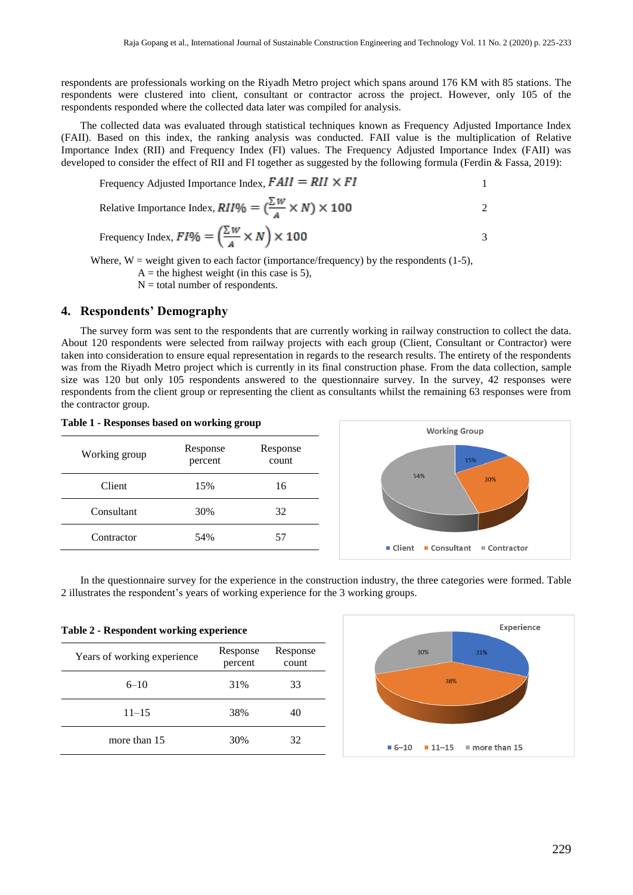respondents are professionals working on the Riyadh Metro project which spans around 176 KM with 85 stations. The respondents were clustered into client, consultant or contractor across the project. However, only 105 of the respondents responded where the collected data later was compiled for analysis.

The collected data was evaluated through statistical techniques known as Frequency Adjusted Importance Index (FAII). Based on this index, the ranking analysis was conducted. FAII value is the multiplication of Relative Importance Index (RII) and Frequency Index (FI) values. The Frequency Adjusted Importance Index (FAII) was developed to consider the effect of RII and FI together as suggested by the following formula (Ferdin & Fassa, 2019):

Frequency Adjusted Importance Index,  $F A II = R II \times F I$ 

Relative Importance Index,  $RII\% = (\frac{\sum W}{A} \times N) \times 100$  2

Frequency Index, 
$$
FI\% = \left(\frac{\sum W}{A} \times N\right) \times 100
$$

Where,  $W =$  weight given to each factor (importance/frequency) by the respondents (1-5),

 $A =$  the highest weight (in this case is 5),

 $N =$  total number of respondents.

### **4. Respondents' Demography**

**Table 1 - Responses based on working group**

The survey form was sent to the respondents that are currently working in railway construction to collect the data. About 120 respondents were selected from railway projects with each group (Client, Consultant or Contractor) were taken into consideration to ensure equal representation in regards to the research results. The entirety of the respondents was from the Riyadh Metro project which is currently in its final construction phase. From the data collection, sample size was 120 but only 105 respondents answered to the questionnaire survey. In the survey, 42 responses were respondents from the client group or representing the client as consultants whilst the remaining 63 responses were from the contractor group.

| <b>Table 1 - Responses based on working group</b> |                     |                   | <b>Working Group</b>                     |  |  |
|---------------------------------------------------|---------------------|-------------------|------------------------------------------|--|--|
| Working group                                     | Response<br>percent | Response<br>count | 15%                                      |  |  |
| Client                                            | 15%                 | 16                | 54%<br>30%                               |  |  |
| Consultant                                        | 30%                 | 32                |                                          |  |  |
| Contractor                                        | 54%                 | 57                | ■ Consultant<br>■ Client<br>■ Contractor |  |  |
|                                                   |                     |                   |                                          |  |  |

In the questionnaire survey for the experience in the construction industry, the three categories were formed. Table 2 illustrates the respondent's years of working experience for the 3 working groups.

| Table 2 - Respondent working experience |                     |                   |  |  |
|-----------------------------------------|---------------------|-------------------|--|--|
| Years of working experience             | Response<br>percent | Response<br>count |  |  |
| $6 - 10$                                | 31%                 | 33                |  |  |
| $11 - 15$                               | 38%                 | 40                |  |  |
| more than 15                            | 30%                 | 32                |  |  |

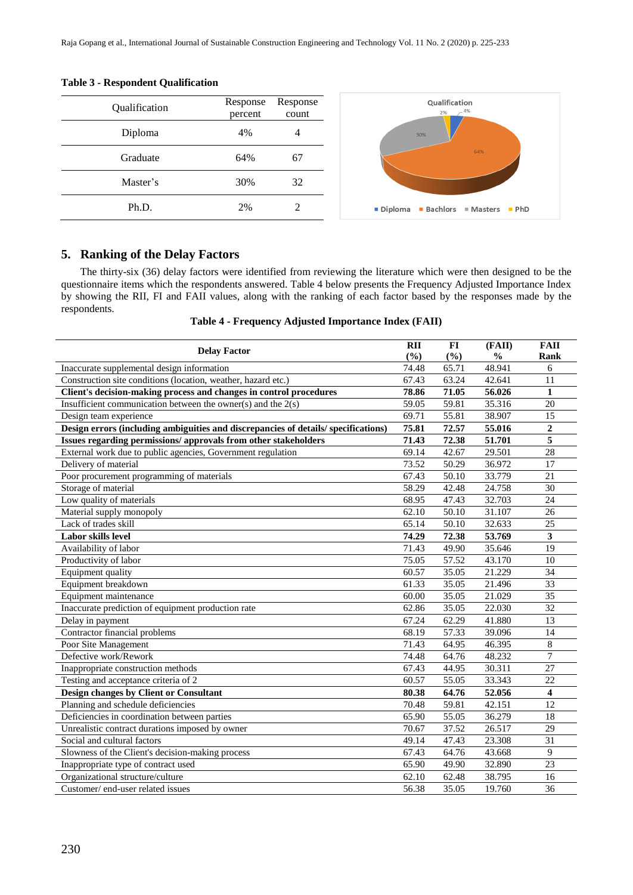| Qualification | Response<br>percent | Response<br>count |  |
|---------------|---------------------|-------------------|--|
| Diploma       | 4%                  | 4                 |  |
| Graduate      | 64%                 | 67                |  |
| Master's      | 30%                 | 32                |  |
| Ph.D.         | 2%                  |                   |  |





## **5. Ranking of the Delay Factors**

The thirty-six (36) delay factors were identified from reviewing the literature which were then designed to be the questionnaire items which the respondents answered. Table 4 below presents the Frequency Adjusted Importance Index by showing the RII, FI and FAII values, along with the ranking of each factor based by the responses made by the respondents.

**Table 4 - Frequency Adjusted Importance Index (FAII)**

| <b>Delay Factor</b>                                                               |       | $FI$   | (FAII)        | <b>FAII</b>             |
|-----------------------------------------------------------------------------------|-------|--------|---------------|-------------------------|
|                                                                                   |       | $(\%)$ | $\frac{1}{2}$ | Rank                    |
| Inaccurate supplemental design information                                        | 74.48 | 65.71  | 48.941        | 6                       |
| Construction site conditions (location, weather, hazard etc.)                     | 67.43 | 63.24  | 42.641        | 11                      |
| Client's decision-making process and changes in control procedures                | 78.86 | 71.05  | 56.026        | $\mathbf{1}$            |
| Insufficient communication between the owner(s) and the $2(s)$                    | 59.05 | 59.81  | 35.316        | 20                      |
| Design team experience                                                            | 69.71 | 55.81  | 38.907        | 15                      |
| Design errors (including ambiguities and discrepancies of details/specifications) | 75.81 | 72.57  | 55.016        | $\boldsymbol{2}$        |
| Issues regarding permissions/ approvals from other stakeholders                   | 71.43 | 72.38  | 51.701        | 5                       |
| External work due to public agencies, Government regulation                       | 69.14 | 42.67  | 29.501        | 28                      |
| Delivery of material                                                              | 73.52 | 50.29  | 36.972        | 17                      |
| Poor procurement programming of materials                                         | 67.43 | 50.10  | 33.779        | 21                      |
| Storage of material                                                               | 58.29 | 42.48  | 24.758        | 30                      |
| Low quality of materials                                                          | 68.95 | 47.43  | 32.703        | 24                      |
| Material supply monopoly                                                          | 62.10 | 50.10  | 31.107        | 26                      |
| Lack of trades skill                                                              | 65.14 | 50.10  | 32.633        | 25                      |
| Labor skills level                                                                | 74.29 | 72.38  | 53.769        | $\mathbf{3}$            |
| Availability of labor                                                             | 71.43 | 49.90  | 35.646        | $\overline{19}$         |
| Productivity of labor                                                             | 75.05 | 57.52  | 43.170        | 10                      |
| Equipment quality                                                                 | 60.57 | 35.05  | 21.229        | 34                      |
| Equipment breakdown                                                               | 61.33 | 35.05  | 21.496        | 33                      |
| Equipment maintenance                                                             | 60.00 | 35.05  | 21.029        | 35                      |
| Inaccurate prediction of equipment production rate                                | 62.86 | 35.05  | 22.030        | 32                      |
| Delay in payment                                                                  | 67.24 | 62.29  | 41.880        | 13                      |
| Contractor financial problems                                                     | 68.19 | 57.33  | 39.096        | 14                      |
| Poor Site Management                                                              | 71.43 | 64.95  | 46.395        | $\,8\,$                 |
| Defective work/Rework                                                             | 74.48 | 64.76  | 48.232        | $\overline{7}$          |
| Inappropriate construction methods                                                | 67.43 | 44.95  | 30.311        | 27                      |
| Testing and acceptance criteria of 2                                              | 60.57 | 55.05  | 33.343        | 22                      |
| Design changes by Client or Consultant                                            | 80.38 | 64.76  | 52.056        | $\overline{\mathbf{4}}$ |
| Planning and schedule deficiencies                                                | 70.48 | 59.81  | 42.151        | $\overline{12}$         |
| Deficiencies in coordination between parties                                      | 65.90 | 55.05  | 36.279        | 18                      |
| Unrealistic contract durations imposed by owner                                   | 70.67 | 37.52  | 26.517        | $\overline{29}$         |
| Social and cultural factors                                                       | 49.14 | 47.43  | 23.308        | 31                      |
| Slowness of the Client's decision-making process                                  | 67.43 | 64.76  | 43.668        | 9                       |
| Inappropriate type of contract used                                               | 65.90 | 49.90  | 32.890        | 23                      |
| Organizational structure/culture                                                  | 62.10 | 62.48  | 38.795        | 16                      |
| Customer/end-user related issues                                                  | 56.38 | 35.05  | 19.760        | 36                      |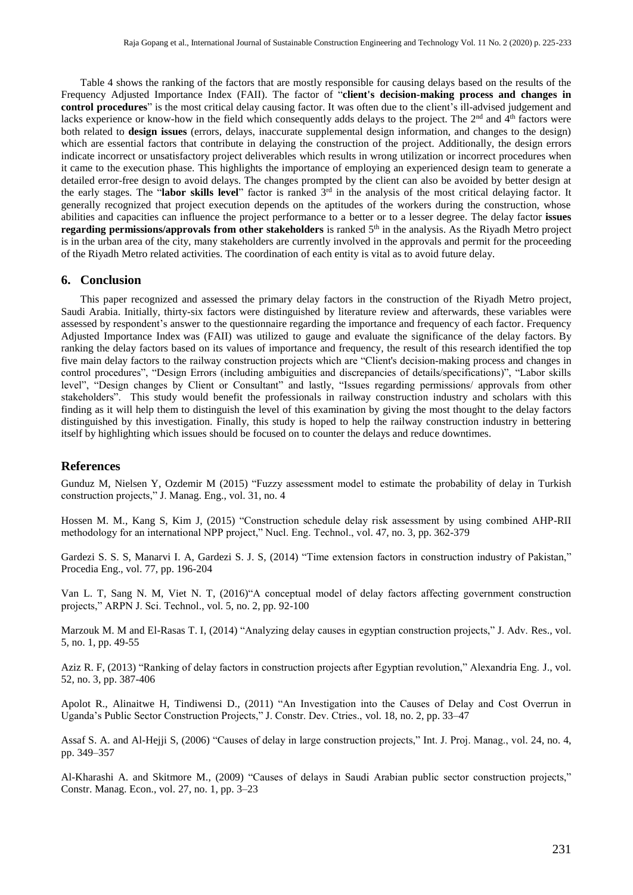Table 4 shows the ranking of the factors that are mostly responsible for causing delays based on the results of the Frequency Adjusted Importance Index (FAII). The factor of "**client's decision-making process and changes in control procedures**" is the most critical delay causing factor. It was often due to the client's ill-advised judgement and lacks experience or know-how in the field which consequently adds delays to the project. The  $2<sup>nd</sup>$  and  $4<sup>th</sup>$  factors were both related to **design issues** (errors, delays, inaccurate supplemental design information, and changes to the design) which are essential factors that contribute in delaying the construction of the project. Additionally, the design errors indicate incorrect or unsatisfactory project deliverables which results in wrong utilization or incorrect procedures when it came to the execution phase. This highlights the importance of employing an experienced design team to generate a detailed error-free design to avoid delays. The changes prompted by the client can also be avoided by better design at the early stages. The "**labor skills level**" factor is ranked 3rd in the analysis of the most critical delaying factor. It generally recognized that project execution depends on the aptitudes of the workers during the construction, whose abilities and capacities can influence the project performance to a better or to a lesser degree. The delay factor **issues regarding permissions/approvals from other stakeholders** is ranked 5th in the analysis. As the Riyadh Metro project is in the urban area of the city, many stakeholders are currently involved in the approvals and permit for the proceeding of the Riyadh Metro related activities. The coordination of each entity is vital as to avoid future delay.

#### **6. Conclusion**

This paper recognized and assessed the primary delay factors in the construction of the Riyadh Metro project, Saudi Arabia. Initially, thirty-six factors were distinguished by literature review and afterwards, these variables were assessed by respondent's answer to the questionnaire regarding the importance and frequency of each factor. Frequency Adjusted Importance Index was (FAII) was utilized to gauge and evaluate the significance of the delay factors. By ranking the delay factors based on its values of importance and frequency, the result of this research identified the top five main delay factors to the railway construction projects which are "Client's decision-making process and changes in control procedures", "Design Errors (including ambiguities and discrepancies of details/specifications)", "Labor skills level", "Design changes by Client or Consultant" and lastly, "Issues regarding permissions/ approvals from other stakeholders". This study would benefit the professionals in railway construction industry and scholars with this finding as it will help them to distinguish the level of this examination by giving the most thought to the delay factors distinguished by this investigation. Finally, this study is hoped to help the railway construction industry in bettering itself by highlighting which issues should be focused on to counter the delays and reduce downtimes.

#### **References**

Gunduz M, Nielsen Y, Ozdemir M (2015) "Fuzzy assessment model to estimate the probability of delay in Turkish construction projects," J. Manag. Eng., vol. 31, no. 4

Hossen M. M., Kang S, Kim J, (2015) "Construction schedule delay risk assessment by using combined AHP-RII methodology for an international NPP project," Nucl. Eng. Technol., vol. 47, no. 3, pp. 362-379

Gardezi S. S. S, Manarvi I. A, Gardezi S. J. S, (2014) "Time extension factors in construction industry of Pakistan," Procedia Eng., vol. 77, pp. 196-204

Van L. T, Sang N. M, Viet N. T, (2016)"A conceptual model of delay factors affecting government construction projects," ARPN J. Sci. Technol., vol. 5, no. 2, pp. 92-100

Marzouk M. M and El-Rasas T. I, (2014) "Analyzing delay causes in egyptian construction projects," J. Adv. Res., vol. 5, no. 1, pp. 49-55

Aziz R. F, (2013) "Ranking of delay factors in construction projects after Egyptian revolution," Alexandria Eng. J., vol. 52, no. 3, pp. 387-406

Apolot R., Alinaitwe H, Tindiwensi D., (2011) "An Investigation into the Causes of Delay and Cost Overrun in Uganda's Public Sector Construction Projects," J. Constr. Dev. Ctries., vol. 18, no. 2, pp. 33–47

Assaf S. A. and Al-Hejji S, (2006) "Causes of delay in large construction projects," Int. J. Proj. Manag., vol. 24, no. 4, pp. 349–357

Al-Kharashi A. and Skitmore M., (2009) "Causes of delays in Saudi Arabian public sector construction projects," Constr. Manag. Econ., vol. 27, no. 1, pp. 3–23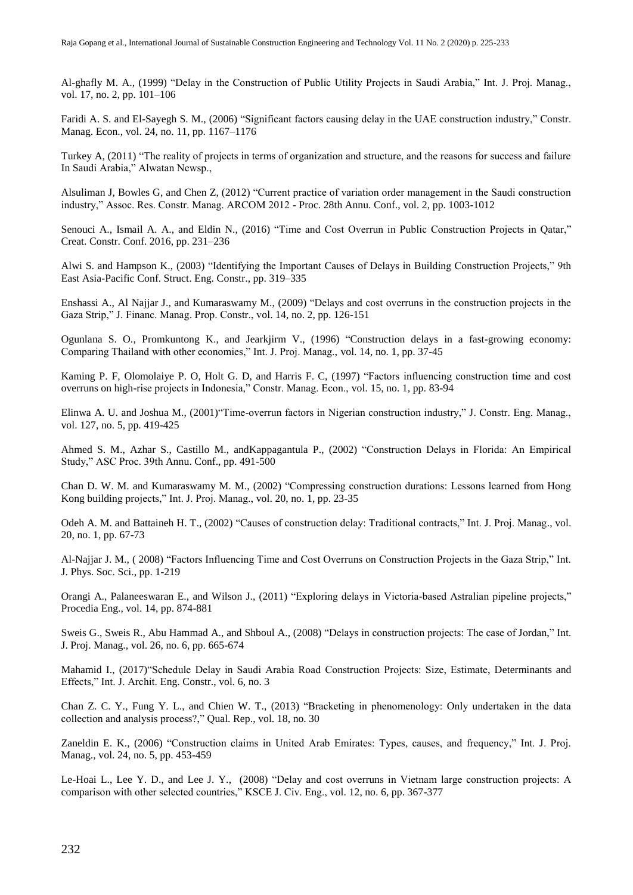Al-ghafly M. A., (1999) "Delay in the Construction of Public Utility Projects in Saudi Arabia," Int. J. Proj. Manag., vol. 17, no. 2, pp. 101–106

Faridi A. S. and El-Sayegh S. M., (2006) "Significant factors causing delay in the UAE construction industry," Constr. Manag. Econ., vol. 24, no. 11, pp. 1167–1176

Turkey A, (2011) "The reality of projects in terms of organization and structure, and the reasons for success and failure In Saudi Arabia," Alwatan Newsp.,

Alsuliman J, Bowles G, and Chen Z, (2012) "Current practice of variation order management in the Saudi construction industry," Assoc. Res. Constr. Manag. ARCOM 2012 - Proc. 28th Annu. Conf., vol. 2, pp. 1003-1012

Senouci A., Ismail A. A., and Eldin N., (2016) "Time and Cost Overrun in Public Construction Projects in Oatar," Creat. Constr. Conf. 2016, pp. 231–236

Alwi S. and Hampson K., (2003) "Identifying the Important Causes of Delays in Building Construction Projects," 9th East Asia-Pacific Conf. Struct. Eng. Constr., pp. 319–335

Enshassi A., Al Najjar J., and Kumaraswamy M., (2009) "Delays and cost overruns in the construction projects in the Gaza Strip," J. Financ. Manag. Prop. Constr., vol. 14, no. 2, pp. 126-151

Ogunlana S. O., Promkuntong K., and Jearkjirm V., (1996) "Construction delays in a fast-growing economy: Comparing Thailand with other economies," Int. J. Proj. Manag., vol. 14, no. 1, pp. 37-45

Kaming P. F, Olomolaiye P. O, Holt G. D, and Harris F. C, (1997) "Factors influencing construction time and cost overruns on high-rise projects in Indonesia," Constr. Manag. Econ., vol. 15, no. 1, pp. 83-94

Elinwa A. U. and Joshua M., (2001)"Time-overrun factors in Nigerian construction industry," J. Constr. Eng. Manag., vol. 127, no. 5, pp. 419-425

Ahmed S. M., Azhar S., Castillo M., andKappagantula P., (2002) "Construction Delays in Florida: An Empirical Study," ASC Proc. 39th Annu. Conf., pp. 491-500

Chan D. W. M. and Kumaraswamy M. M., (2002) "Compressing construction durations: Lessons learned from Hong Kong building projects," Int. J. Proj. Manag., vol. 20, no. 1, pp. 23-35

Odeh A. M. and Battaineh H. T., (2002) "Causes of construction delay: Traditional contracts," Int. J. Proj. Manag., vol. 20, no. 1, pp. 67-73

Al-Najjar J. M., ( 2008) "Factors Influencing Time and Cost Overruns on Construction Projects in the Gaza Strip," Int. J. Phys. Soc. Sci., pp. 1-219

Orangi A., Palaneeswaran E., and Wilson J., (2011) "Exploring delays in Victoria-based Astralian pipeline projects," Procedia Eng., vol. 14, pp. 874-881

Sweis G., Sweis R., Abu Hammad A., and Shboul A., (2008) "Delays in construction projects: The case of Jordan," Int. J. Proj. Manag., vol. 26, no. 6, pp. 665-674

Mahamid I., (2017)"Schedule Delay in Saudi Arabia Road Construction Projects: Size, Estimate, Determinants and Effects," Int. J. Archit. Eng. Constr., vol. 6, no. 3

Chan Z. C. Y., Fung Y. L., and Chien W. T., (2013) "Bracketing in phenomenology: Only undertaken in the data collection and analysis process?," Qual. Rep., vol. 18, no. 30

Zaneldin E. K., (2006) "Construction claims in United Arab Emirates: Types, causes, and frequency," Int. J. Proj. Manag., vol. 24, no. 5, pp. 453-459

Le-Hoai L., Lee Y. D., and Lee J. Y., (2008) "Delay and cost overruns in Vietnam large construction projects: A comparison with other selected countries," KSCE J. Civ. Eng., vol. 12, no. 6, pp. 367-377